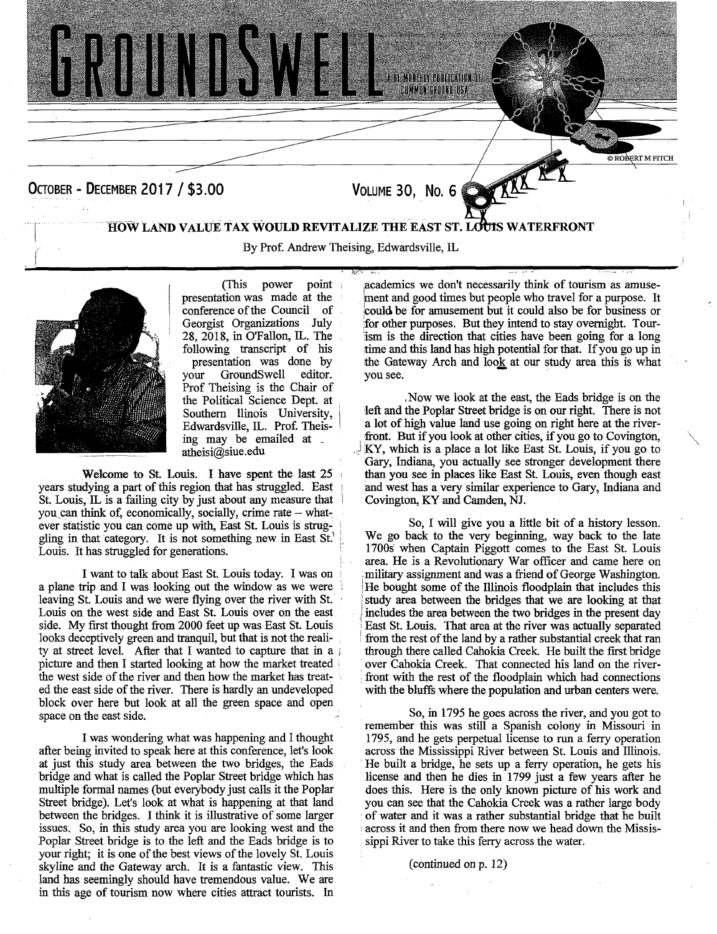

By Prof. Andrew Theising, Edwardsville, IL



(This power point presentation was made at the conference of the Council of Georgist Organizations July 28, 2018, in O'Fallon, IL. The following transcript of his

presentation was done by<br>your GroundSwell editor. GroundSwell Prof Theising is the Chair of the Political Science Dept. at Southern llinois University, Edwardsville, IL. Prof. Theising may be emailed at atheisi@siue.edu

**Welcome to** St. Louis. I have spent the last 25 years studying a part of this region that has struggled. East St. Louis, IL is a failing city by just about any measure that you can think of, economically, socially, crime rate - whatever statistic you can come up with, East St. Louis is struggling in that category. It is not something new in East St. Louis. It has struggled for generations.

I want to talk about East St. Louis today. I was on a plane trip and I was looking out the window as we were leaving St. Louis and we were flying over the river with St. Louis on the west side and East St. Louis over on the east side. My first thought from 2000 feet up was East St. Louis looks deceptively green and tranquil, but that is not the reality at street level. After that I wanted to capture that in a picture and then I started looking at how the market treated the west side of the river and then how the market has treated the east side of the river. There is hardly an undeveloped block over here but look at all the green space and open space on the east side.

I was wondering what was happening and I thought after being invited to speak here at this conference, let's look at just this study area between the two bridges, the Eads bridge and what is called the Poplar Street bridge which has multiple formal names (but everybody just calls it the Poplar Street bridge). Let's look at what is happening at that land between the bridges. I think it is illustrative of some larger issues. So, in this study area you are looking west and the Poplar Street bridge is to the left and the Eads bridge is to your right; it is one of the best views of the lovely St. Louis skyline and the Gateway arch. It is a fantastic view. This land has seemingly should have tremendous value. We are in this age of tourism now where cities attract tourists. In

academics we don't necessarily think of tourism as amusement and good times but people who travel for a purpose. It could be for amusement but it could also be for business or for other purposes. But they intend to stay overnight. Tourism is the direction that cities have been going for a long time and this land has high potential for that. If you go up in the Gateway Arch and loot at our study area this is what you see.

,Now we look at the east, the Eads bridge is on the left and the Poplar Street bridge is on our right. There is not a lot of high value land use going on right here at the riverfront. But if you look at other cities, if you go to Covington, KY, which is a place a lot like East St. Louis, if you go to Gary, Indiana, you actually see stronger development there than you see in places like East St. Louis, even though east and west has a very similar experience to Gary, Indiana and Covington, KY and Camden, NJ.

So, I will give you a little bit of a history lesson. We go back to the very beginning, way back to the late 1700s when Captain Piggott comes to the East St. Louis area. He is a Revolutionary War officer and came here on military assignment and was a friend of George Washington. He bought some of the Illinois floodplain that includes this study area between the bridges that we are looking at that includes the area between the two bridges in the present day East St. Louis. That area at the river was actually separated from the rest of the land by a rather substantial creek that ran through there called Cahokia Creek. He built the first bridge over Cahokia Creek. That connected his land on the riverfront with the rest of the floodplain which had connections with the bluffs where the population and urban centers were.

So, in *1795* he goes across the river, and you got to remember this was still a Spanish colony in Missouri in *1795,* and he gets perpetual license to run a ferry operation across the Mississippi River between St. Louis and Illinois. He built a bridge, he sets up a ferry operation, he gets his license and then he dies in 1799 just a few years after he does this. Here is the only known picture of his work and you can see that the Cahokia Creek was a rather large body of water and it was a rather substantial bridge that he built across it and then from there now we head down the Mississippi River to take this ferry across the water.

## (continued on p. 12)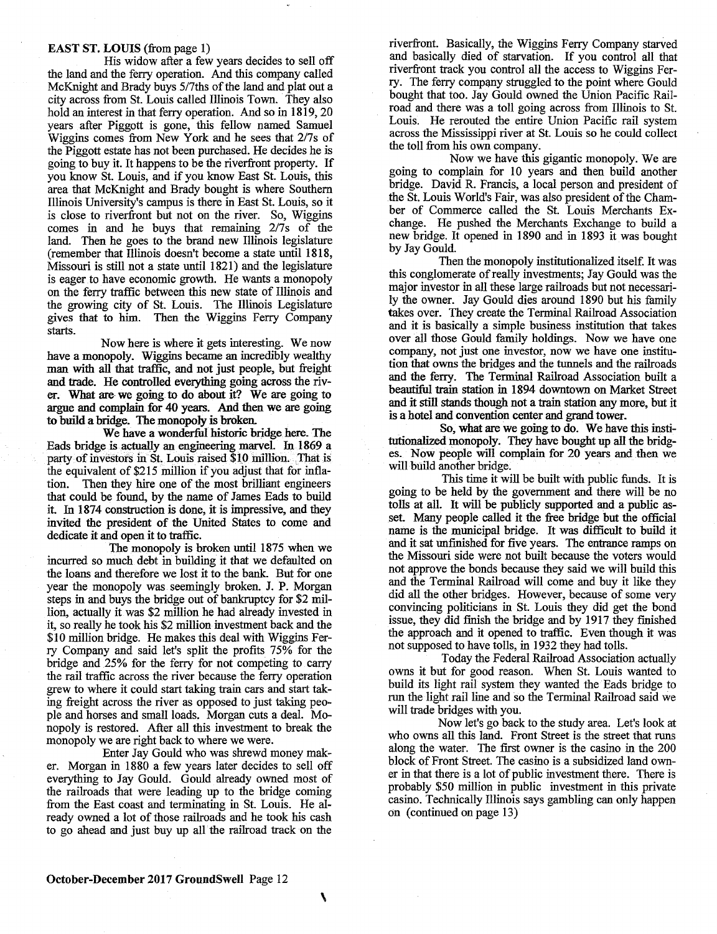## **EAST ST. LOUIS** (from page 1)

His widow after a few years decides to sell off the land and the ferry operation. And this company called McKnight and Brady buys *517ths* of the land and plat out a city across from St. Louis called Illinois Town. They also hold an interest in that ferry operation. And so in 1819, 20 years after Piggott is gone, this fellow named Samuel Wiggins comes from New York and he sees that 2/7s of the Piggott estate has not been purchased. He decides he is going to buy it. It happens to be the riverfront property. If you know St. Louis, and if you know East St. Louis, this area that McKnight and Brady bought is where Southern Illinois University's campus is there in East St. Louis, so it is close to riverfront but not on the river. So, Wiggins comes in and he buys that remaining 2/7s of the land. Then he goes to the brand new Illinois legislature (remember that Illinois doesn't become a state until 1818, Missouri is still not a state until 1821) and the legislature is eager to have economic growth. He wants a monopoly on the ferry traffic between this new state of Illinois and the growing city of St. Louis. The Illinois Legislature gives that to him. Then the Wiggins Ferry Company starts.

Now here is where it gets interesting. We now have a monopoly. Wiggins became an incredibly wealthy man with all that traffic, and not just people, but freight and trade. He controlled everything going across the riv**er. What are-** we going **to do about it?** We are going to argue and complain for 40 years. And then we are going **to build a bridge. The monopoly is broken.** 

We have a wonderful historic bridge here. The Eads bridge is actually an engineering marvel. In 1869 a party of investors in St. Louis raised \$10 million. That is the equivalent of \$215 million if you adjust that for inflation. Then they hire one of the most brilliant engineers that could be found, by the name of James Eads to build it. In 1874 construction is done, it is impressive, and they invited the president of the United States to come and dedicate it and open it to traffic.

The monopoly is broken until 1875 when we incurred so much debt in building it that we defaulted on the loans and therefore we lost it to the bank. But for one year the monopoly was seemingly broken. J. P. Morgan steps in and buys the bridge out of bankruptcy for \$2 million, actually it was \$2 million he had already invested in it, so really he took his \$2 million investment back and the \$10 million bridge. He makes this deal with Wiggins Ferry Company and said let's split the profits *75%* for the bridge and *25%* for the ferry for not competing to carry the rail traffic across the river because the ferry operation grew to where it could start taking train cars and start taking freight across the river as opposed to just taking people and horses and small loads. Morgan cuts a deal. Monopoly is restored. After all this investment to break the monopoly we are right back to where we were.

Enter Jay Gould who was shrewd money maker. Morgan in 1880 a few years later decides to sell off everything to Jay Gould. Gould already owned most of the railroads that were leading up to the bridge coming from the East coast and terminating in St. Louis. He already owned a lot of those railroads and he took his cash to go ahead and just buy up all the railroad track on the

riverfront. Basically, the Wiggins Ferry Company starved and basically died of starvation. If you control all that riverfront track you control all the access to Wiggins Ferry. The ferry company struggled to the point where Gould bought that too. Jay Gould owned the Union Pacific Railroad and there was a toll going across from Illinois to St. Louis. He rerouted the entire Union Pacific rail system across the Mississippi river at St. Louis so he could collect the toll from his own company.

Now we have this gigantic monopoly. We are going to complain for 10 years and then build another bridge. David R. Francis, a local person and president of the St. Louis World's Fair, was also president of the Chamber of Commerce called the St. Louis Merchants Exchange. He pushed the Merchants Exchange to build a new bridge. It opened in 1890 and in 1893 it was bought by Jay Gould.

Then the monopoly institutionalized itself. It was this conglomerate of really investments; Jay Gould was the major investor in all these large railroads but not necessarily the owner. Jay Gould dies around 1890 but his family takes over. They create the Terminal Railroad Association and it is basically a simple business institution that takes over all those Gould family holdings. Now we have one company, not just one investor, now we have one institution that owns the bridges and the tunnels and the railroads and the ferry. The Terminal Railroad Association built a beautiful train station in 1894 downtown on Market Street and it still stands though not a train station any more, but it is a hotel and convention center and grand tower.

**So, what** are we going to do. We have this institutionalized monopoly. They have bought up all the bridges. Now people will complain for 20 years and then we will build another bridge.

This time it will be built with public funds. It is going to be held by the government and there will be no tolls at all. It will be publicly supported and a public asset. Many people called it the free bridge but the official name is the municipal bridge. It was difficult to build it and it sat unfinished for five years. The entrance ramps on the Missouri side were not built because the voters would not approve the bonds because they said we will build this and the Terminal Railroad will come and buy it like they did all the other bridges. However, because of some very convincing politicians in St. Louis they did get the bond issue, they did finish the bridge and by 1917 they finished the approach and it opened to traffic. Even though it was not supposed to have tolls, in 1932 they had tolls.

Today the Federal Railroad Association actually owns it but for good reason. When St. Louis wanted to build its light rail system they wanted the Eads bridge to run the light rail line and so the Terminal Railroad said we will trade bridges with you.

Now let's go back to the study area. Let's look at who owns all this land. Front Street is the street that runs along the water. The first owner is the casino in the 200 block of Front Street. The casino is a subsidized land owner in that there is a lot of public investment there. There is probably *\$50* million in public investment in this private casino. Technically Illinois says gambling can only happen on (continued on page 13)